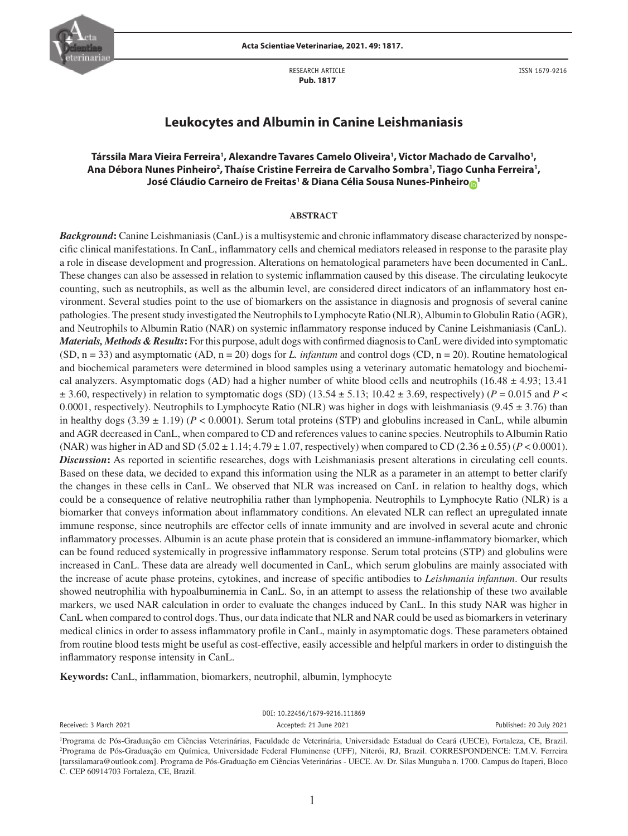

RESEARCH ARTICLE  **Pub. 1817**

ISSN 1679-9216

# **Leukocytes and Albumin in Canine Leishmaniasis**

# **Társsila Mara Vieira Ferreira1 , Alexandre Tavares Camelo Oliveira1 , Victor Machado de Carvalho1 ,**  Ana Débora Nunes Pinheiro<sup>2</sup>, Thaíse Cristine Ferreira de Carvalho Sombra<sup>1</sup>, Tiago Cunha Ferreira<sup>1</sup>, **J[o](http://orcid.org/0000-0002-4505-9941)sé Cláudio Carneiro de Freitas<sup>1</sup> & Diana Célia Sousa Nunes-Pinheiro** $_{\text{O}}$ **1**

#### **ABSTRACT**

*Background***:** Canine Leishmaniasis (CanL) is a multisystemic and chronic inflammatory disease characterized by nonspecific clinical manifestations. In CanL, inflammatory cells and chemical mediators released in response to the parasite play a role in disease development and progression. Alterations on hematological parameters have been documented in CanL. These changes can also be assessed in relation to systemic inflammation caused by this disease. The circulating leukocyte counting, such as neutrophils, as well as the albumin level, are considered direct indicators of an inflammatory host environment. Several studies point to the use of biomarkers on the assistance in diagnosis and prognosis of several canine pathologies. The present study investigated the Neutrophils to Lymphocyte Ratio (NLR), Albumin to Globulin Ratio (AGR), and Neutrophils to Albumin Ratio (NAR) on systemic inflammatory response induced by Canine Leishmaniasis (CanL). *Materials, Methods & Results***:** For this purpose, adult dogs with confirmed diagnosis to CanL were divided into symptomatic (SD, n = 33) and asymptomatic (AD, n = 20) dogs for *L. infantum* and control dogs (CD, n = 20). Routine hematological and biochemical parameters were determined in blood samples using a veterinary automatic hematology and biochemical analyzers. Asymptomatic dogs (AD) had a higher number of white blood cells and neutrophils (16.48  $\pm$  4.93; 13.41)  $\pm$  3.60, respectively) in relation to symptomatic dogs (SD) (13.54  $\pm$  5.13; 10.42  $\pm$  3.69, respectively) (*P* = 0.015 and *P* < 0.0001, respectively). Neutrophils to Lymphocyte Ratio (NLR) was higher in dogs with leishmaniasis (9.45  $\pm$  3.76) than in healthy dogs  $(3.39 \pm 1.19)$  ( $P < 0.0001$ ). Serum total proteins (STP) and globulins increased in CanL, while albumin and AGR decreased in CanL, when compared to CD and references values to canine species. Neutrophils to Albumin Ratio (NAR) was higher in AD and SD (5.02  $\pm$  1.14; 4.79  $\pm$  1.07, respectively) when compared to CD (2.36  $\pm$  0.55) ( $P$  < 0.0001). *Discussion***:** As reported in scientific researches, dogs with Leishmaniasis present alterations in circulating cell counts. Based on these data, we decided to expand this information using the NLR as a parameter in an attempt to better clarify the changes in these cells in CanL. We observed that NLR was increased on CanL in relation to healthy dogs, which could be a consequence of relative neutrophilia rather than lymphopenia. Neutrophils to Lymphocyte Ratio (NLR) is a biomarker that conveys information about inflammatory conditions. An elevated NLR can reflect an upregulated innate immune response, since neutrophils are effector cells of innate immunity and are involved in several acute and chronic inflammatory processes. Albumin is an acute phase protein that is considered an immune-inflammatory biomarker, which can be found reduced systemically in progressive inflammatory response. Serum total proteins (STP) and globulins were increased in CanL. These data are already well documented in CanL, which serum globulins are mainly associated with the increase of acute phase proteins, cytokines, and increase of specific antibodies to *Leishmania infantum*. Our results showed neutrophilia with hypoalbuminemia in CanL. So, in an attempt to assess the relationship of these two available markers, we used NAR calculation in order to evaluate the changes induced by CanL. In this study NAR was higher in CanL when compared to control dogs. Thus, our data indicate that NLR and NAR could be used as biomarkers in veterinary medical clinics in order to assess inflammatory profile in CanL, mainly in asymptomatic dogs. These parameters obtained from routine blood tests might be useful as cost-effective, easily accessible and helpful markers in order to distinguish the inflammatory response intensity in CanL.

**Keywords:** CanL, inflammation, biomarkers, neutrophil, albumin, lymphocyte

DOI: 10.22456/1679-9216.111869

Received: 3 March 2021 **Accepted: 21 June 2021** Accepted: 21 June 2021 **Accepted: 20 July 2021** Published: 20 July 2021

<sup>1</sup> Programa de Pós-Graduação em Ciências Veterinárias, Faculdade de Veterinária, Universidade Estadual do Ceará (UECE), Fortaleza, CE, Brazil. 2 Programa de Pós-Graduação em Química, Universidade Federal Fluminense (UFF), Niterói, RJ, Brazil. CORRESPONDENCE: T.M.V. Ferreira [tarssilamara@outlook.com]. Programa de Pós-Graduação em Ciências Veterinárias - UECE. Av. Dr. Silas Munguba n. 1700. Campus do Itaperi, Bloco C. CEP 60914703 Fortaleza, CE, Brazil.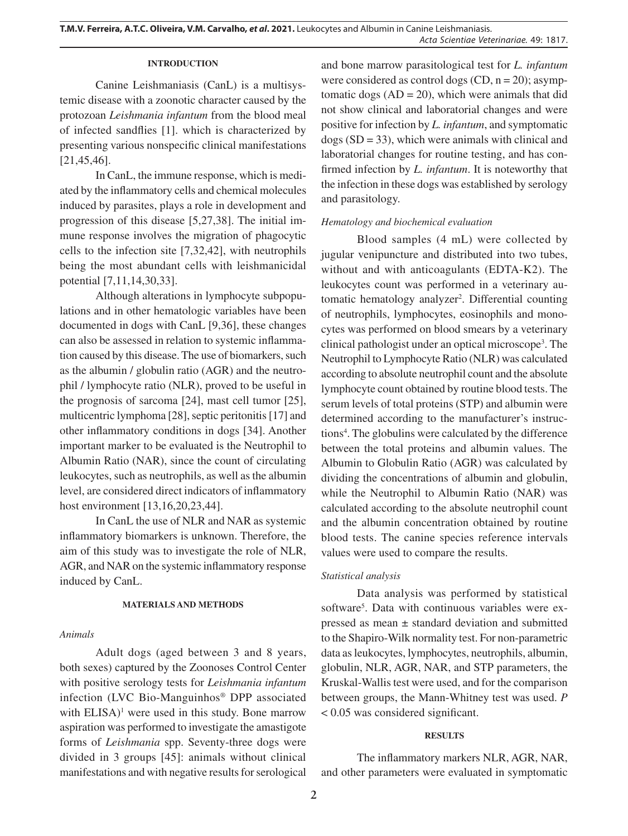### **INTRODUCTION**

Canine Leishmaniasis (CanL) is a multisystemic disease with a zoonotic character caused by the protozoan *Leishmania infantum* from the blood meal of infected sandflies [1]. which is characterized by presenting various nonspecific clinical manifestations [21,45,46].

In CanL, the immune response, which is mediated by the inflammatory cells and chemical molecules induced by parasites, plays a role in development and progression of this disease [5,27,38]. The initial immune response involves the migration of phagocytic cells to the infection site [7,32,42], with neutrophils being the most abundant cells with leishmanicidal potential [7,11,14,30,33].

Although alterations in lymphocyte subpopulations and in other hematologic variables have been documented in dogs with CanL [9,36], these changes can also be assessed in relation to systemic inflammation caused by this disease. The use of biomarkers, such as the albumin / globulin ratio (AGR) and the neutrophil / lymphocyte ratio (NLR), proved to be useful in the prognosis of sarcoma [24], mast cell tumor [25], multicentric lymphoma [28], septic peritonitis [17] and other inflammatory conditions in dogs [34]. Another important marker to be evaluated is the Neutrophil to Albumin Ratio (NAR), since the count of circulating leukocytes, such as neutrophils, as well as the albumin level, are considered direct indicators of inflammatory host environment [13,16,20,23,44].

In CanL the use of NLR and NAR as systemic inflammatory biomarkers is unknown. Therefore, the aim of this study was to investigate the role of NLR, AGR, and NAR on the systemic inflammatory response induced by CanL.

## **MATERIALS AND METHODS**

## *Animals*

Adult dogs (aged between 3 and 8 years, both sexes) captured by the Zoonoses Control Center with positive serology tests for *Leishmania infantum* infection (LVC Bio-Manguinhos® DPP associated with  $ELISA$ <sup>1</sup> were used in this study. Bone marrow aspiration was performed to investigate the amastigote forms of *Leishmania* spp. Seventy-three dogs were divided in 3 groups [45]: animals without clinical manifestations and with negative results for serological

and bone marrow parasitological test for *L. infantum*  were considered as control dogs  $(CD, n = 20)$ ; asymptomatic dogs  $(AD = 20)$ , which were animals that did not show clinical and laboratorial changes and were positive for infection by *L. infantum*, and symptomatic  $\text{dogs}$  (SD = 33), which were animals with clinical and laboratorial changes for routine testing, and has confirmed infection by *L. infantum*. It is noteworthy that the infection in these dogs was established by serology and parasitology.

# *Hematology and biochemical evaluation*

Blood samples (4 mL) were collected by jugular venipuncture and distributed into two tubes, without and with anticoagulants (EDTA-K2). The leukocytes count was performed in a veterinary automatic hematology analyzer<sup>2</sup>. Differential counting of neutrophils, lymphocytes, eosinophils and monocytes was performed on blood smears by a veterinary clinical pathologist under an optical microscope3 . The Neutrophil to Lymphocyte Ratio (NLR) was calculated according to absolute neutrophil count and the absolute lymphocyte count obtained by routine blood tests. The serum levels of total proteins (STP) and albumin were determined according to the manufacturer's instructions<sup>4</sup>. The globulins were calculated by the difference between the total proteins and albumin values. The Albumin to Globulin Ratio (AGR) was calculated by dividing the concentrations of albumin and globulin, while the Neutrophil to Albumin Ratio (NAR) was calculated according to the absolute neutrophil count and the albumin concentration obtained by routine blood tests. The canine species reference intervals values were used to compare the results.

## *Statistical analysis*

Data analysis was performed by statistical software<sup>5</sup>. Data with continuous variables were expressed as mean ± standard deviation and submitted to the Shapiro-Wilk normality test. For non-parametric data as leukocytes, lymphocytes, neutrophils, albumin, globulin, NLR, AGR, NAR, and STP parameters, the Kruskal-Wallis test were used, and for the comparison between groups, the Mann-Whitney test was used. *P* < 0.05 was considered significant.

## **RESULTS**

The inflammatory markers NLR, AGR, NAR, and other parameters were evaluated in symptomatic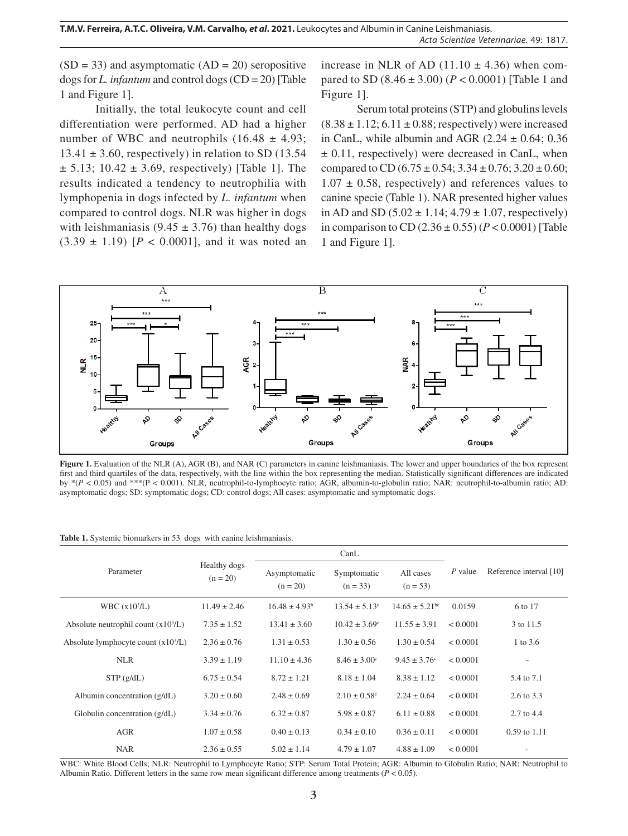$(SD = 33)$  and asymptomatic  $(AD = 20)$  seropositive dogs for *L. infantum* and control dogs (CD = 20) [Table 1 and Figure 1].

Initially, the total leukocyte count and cell differentiation were performed. AD had a higher number of WBC and neutrophils  $(16.48 \pm 4.93)$ ;  $13.41 \pm 3.60$ , respectively) in relation to SD (13.54  $\pm$  5.13; 10.42  $\pm$  3.69, respectively) [Table 1]. The results indicated a tendency to neutrophilia with lymphopenia in dogs infected by *L. infantum* when compared to control dogs. NLR was higher in dogs with leishmaniasis (9.45  $\pm$  3.76) than healthy dogs  $(3.39 \pm 1.19)$  [ $P < 0.0001$ ], and it was noted an increase in NLR of AD  $(11.10 \pm 4.36)$  when compared to SD  $(8.46 \pm 3.00)$   $(P < 0.0001)$  [Table 1 and Figure 1].

Serum total proteins (STP) and globulins levels  $(8.38 \pm 1.12; 6.11 \pm 0.88;$  respectively) were increased in CanL, while albumin and AGR  $(2.24 \pm 0.64; 0.36)$  $\pm$  0.11, respectively) were decreased in CanL, when compared to CD (6.75  $\pm$  0.54; 3.34  $\pm$  0.76; 3.20  $\pm$  0.60;  $1.07 \pm 0.58$ , respectively) and references values to canine specie (Table 1). NAR presented higher values in AD and SD  $(5.02 \pm 1.14; 4.79 \pm 1.07$ , respectively) in comparison to CD  $(2.36 \pm 0.55)$   $(P < 0.0001)$  [Table 1 and Figure 1].



**Figure 1.** Evaluation of the NLR (A), AGR (B), and NAR (C) parameters in canine leishmaniasis. The lower and upper boundaries of the box represent first and third quartiles of the data, respectively, with the line within the box representing the median. Statistically significant differences are indicated by \*(*P* < 0.05) and \*\*\*(P < 0.001). NLR, neutrophil-to-lymphocyte ratio; AGR, albumin-to-globulin ratio; NAR: neutrophil-to-albumin ratio; AD: asymptomatic dogs; SD: symptomatic dogs; CD: control dogs; All cases: asymptomatic and symptomatic dogs.

|  | <b>Table 1.</b> Systemic biomarkers in 53 dogs with canine leishmaniasis. |  |  |  |  |  |
|--|---------------------------------------------------------------------------|--|--|--|--|--|
|--|---------------------------------------------------------------------------|--|--|--|--|--|

|                                      | Healthy dogs<br>$(n = 20)$ | CanL                       |                           |                                |           |                         |
|--------------------------------------|----------------------------|----------------------------|---------------------------|--------------------------------|-----------|-------------------------|
| Parameter                            |                            | Asymptomatic<br>$(n = 20)$ | Symptomatic<br>$(n = 33)$ | All cases<br>$(n = 53)$        | $P$ value | Reference interval [10] |
| WBC $(x103/L)$                       | $11.49 \pm 2.46$           | $16.48 \pm 4.93^b$         | $13.54 \pm 5.13$ °        | $14.65 \pm 5.21$ <sup>bc</sup> | 0.0159    | 6 to 17                 |
| Absolute neutrophil count $(x103/L)$ | $7.35 \pm 1.52$            | $13.41 \pm 3.60$           | $10.42 \pm 3.69^{\circ}$  | $11.55 \pm 3.91$               | < 0.0001  | 3 to 11.5               |
| Absolute lymphocyte count $(x103/L)$ | $2.36 \pm 0.76$            | $1.31 \pm 0.53$            | $1.30 \pm 0.56$           | $1.30 \pm 0.54$                | < 0.0001  | 1 to 3.6                |
| <b>NLR</b>                           | $3.39 \pm 1.19$            | $11.10 \pm 4.36$           | $8.46 \pm 3.00^{\circ}$   | $9.45 \pm 3.76$ °              | < 0.0001  |                         |
| STP(g/dL)                            | $6.75 \pm 0.54$            | $8.72 \pm 1.21$            | $8.18 \pm 1.04$           | $8.38 \pm 1.12$                | < 0.0001  | 5.4 to 7.1              |
| Albumin concentration $(g/dL)$       | $3.20 \pm 0.60$            | $2.48 \pm 0.69$            | $2.10 \pm 0.58$ °         | $2.24 \pm 0.64$                | < 0.0001  | 2.6 to 3.3              |
| Globulin concentration $(g/dL)$      | $3.34 \pm 0.76$            | $6.32 \pm 0.87$            | $5.98 \pm 0.87$           | $6.11 \pm 0.88$                | < 0.0001  | $2.7 \text{ to } 4.4$   |
| AGR                                  | $1.07 \pm 0.58$            | $0.40 \pm 0.13$            | $0.34 \pm 0.10$           | $0.36 \pm 0.11$                | < 0.0001  | $0.59$ to $1.11$        |
| <b>NAR</b>                           | $2.36 \pm 0.55$            | $5.02 \pm 1.14$            | $4.79 \pm 1.07$           | $4.88 \pm 1.09$                | < 0.0001  |                         |

WBC: White Blood Cells; NLR: Neutrophil to Lymphocyte Ratio; STP: Serum Total Protein; AGR: Albumin to Globulin Ratio; NAR: Neutrophil to Albumin Ratio. Different letters in the same row mean significant difference among treatments ( $P < 0.05$ ).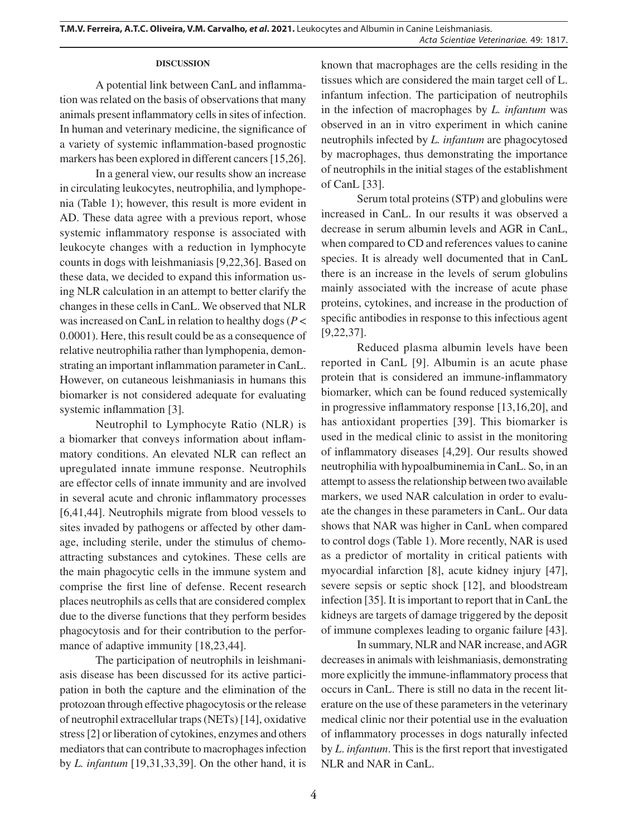# **DISCUSSION**

A potential link between CanL and inflammation was related on the basis of observations that many animals present inflammatory cells in sites of infection. In human and veterinary medicine, the significance of a variety of systemic inflammation-based prognostic markers has been explored in different cancers [15,26].

In a general view, our results show an increase in circulating leukocytes, neutrophilia, and lymphopenia (Table 1); however, this result is more evident in AD. These data agree with a previous report, whose systemic inflammatory response is associated with leukocyte changes with a reduction in lymphocyte counts in dogs with leishmaniasis [9,22,36]. Based on these data, we decided to expand this information using NLR calculation in an attempt to better clarify the changes in these cells in CanL. We observed that NLR was increased on CanL in relation to healthy dogs (*P* < 0.0001). Here, this result could be as a consequence of relative neutrophilia rather than lymphopenia, demonstrating an important inflammation parameter in CanL. However, on cutaneous leishmaniasis in humans this biomarker is not considered adequate for evaluating systemic inflammation [3].

Neutrophil to Lymphocyte Ratio (NLR) is a biomarker that conveys information about inflammatory conditions. An elevated NLR can reflect an upregulated innate immune response. Neutrophils are effector cells of innate immunity and are involved in several acute and chronic inflammatory processes [6,41,44]. Neutrophils migrate from blood vessels to sites invaded by pathogens or affected by other damage, including sterile, under the stimulus of chemoattracting substances and cytokines. These cells are the main phagocytic cells in the immune system and comprise the first line of defense. Recent research places neutrophils as cells that are considered complex due to the diverse functions that they perform besides phagocytosis and for their contribution to the performance of adaptive immunity [18,23,44].

The participation of neutrophils in leishmaniasis disease has been discussed for its active participation in both the capture and the elimination of the protozoan through effective phagocytosis or the release of neutrophil extracellular traps (NETs) [14], oxidative stress [2] or liberation of cytokines, enzymes and others mediators that can contribute to macrophages infection by *L. infantum* [19,31,33,39]. On the other hand, it is known that macrophages are the cells residing in the tissues which are considered the main target cell of L. infantum infection. The participation of neutrophils in the infection of macrophages by *L. infantum* was observed in an in vitro experiment in which canine neutrophils infected by *L. infantum* are phagocytosed by macrophages, thus demonstrating the importance of neutrophils in the initial stages of the establishment of CanL [33].

Serum total proteins (STP) and globulins were increased in CanL. In our results it was observed a decrease in serum albumin levels and AGR in CanL, when compared to CD and references values to canine species. It is already well documented that in CanL there is an increase in the levels of serum globulins mainly associated with the increase of acute phase proteins, cytokines, and increase in the production of specific antibodies in response to this infectious agent [9,22,37].

Reduced plasma albumin levels have been reported in CanL [9]. Albumin is an acute phase protein that is considered an immune-inflammatory biomarker, which can be found reduced systemically in progressive inflammatory response [13,16,20], and has antioxidant properties [39]. This biomarker is used in the medical clinic to assist in the monitoring of inflammatory diseases [4,29]. Our results showed neutrophilia with hypoalbuminemia in CanL. So, in an attempt to assess the relationship between two available markers, we used NAR calculation in order to evaluate the changes in these parameters in CanL. Our data shows that NAR was higher in CanL when compared to control dogs (Table 1). More recently, NAR is used as a predictor of mortality in critical patients with myocardial infarction [8], acute kidney injury [47], severe sepsis or septic shock [12], and bloodstream infection [35]. It is important to report that in CanL the kidneys are targets of damage triggered by the deposit of immune complexes leading to organic failure [43].

In summary, NLR and NAR increase, and AGR decreases in animals with leishmaniasis, demonstrating more explicitly the immune-inflammatory process that occurs in CanL. There is still no data in the recent literature on the use of these parameters in the veterinary medical clinic nor their potential use in the evaluation of inflammatory processes in dogs naturally infected by *L*. *infantum*. This is the first report that investigated NLR and NAR in CanL.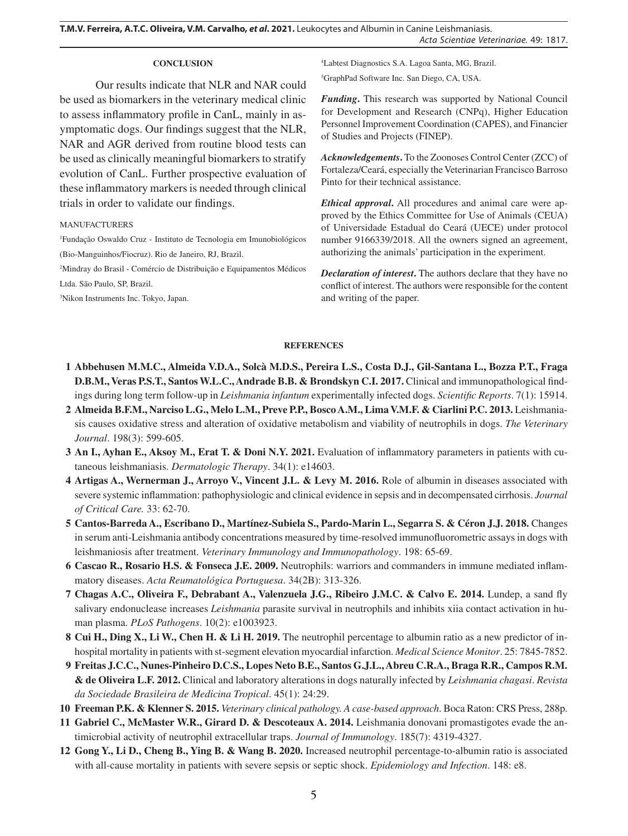#### **CONCLUSION**

Our results indicate that NLR and NAR could be used as biomarkers in the veterinary medical clinic to assess inflammatory profile in CanL, mainly in asymptomatic dogs. Our findings suggest that the NLR, NAR and AGR derived from routine blood tests can be used as clinically meaningful biomarkers to stratify evolution of CanL. Further prospective evaluation of these inflammatory markers is needed through clinical trials in order to validate our findings.

#### MANUFACTURERS

1 Fundação Oswaldo Cruz - Instituto de Tecnologia em Imunobiológicos (Bio-Manguinhos/Fiocruz). Rio de Janeiro, RJ, Brazil.

2 Mindray do Brasil - Comércio de Distribuição e Equipamentos Médicos Ltda. São Paulo, SP, Brazil.

3 Nikon Instruments Inc. Tokyo, Japan.

4 Labtest Diagnostics S.A. Lagoa Santa, MG, Brazil. 5 GraphPad Software Inc. San Diego, CA, USA.

*Funding***.** This research was supported by National Council for Development and Research (CNPq), Higher Education Personnel Improvement Coordination (CAPES), and Financier of Studies and Projects (FINEP).

*Acknowledgements***.** To the Zoonoses Control Center (ZCC) of Fortaleza/Ceará, especially the Veterinarian Francisco Barroso Pinto for their technical assistance.

*Ethical approval***.** All procedures and animal care were approved by the Ethics Committee for Use of Animals (CEUA) of Universidade Estadual do Ceará (UECE) under protocol number 9166339/2018. All the owners signed an agreement, authorizing the animals' participation in the experiment.

*Declaration of interest***.** The authors declare that they have no conflict of interest. The authors were responsible for the content and writing of the paper.

#### **REFERENCES**

- **1 Abbehusen M.M.C., Almeida V.D.A., Solcà M.D.S., Pereira L.S., Costa D.J., Gil-Santana L., Bozza P.T., Fraga D.B.M., Veras P.S.T., Santos W.L.C., Andrade B.B. & Brondskyn C.I. 2017.** Clinical and immunopathological findings during long term follow-up in *Leishmania infantum* experimentally infected dogs. *Scientific Reports*. 7(1): 15914.
- **2 Almeida B.F.M., Narciso L.G., Melo L.M., Preve P.P., Bosco A.M., Lima V.M.F. & Ciarlini P.C. 2013.** Leishmaniasis causes oxidative stress and alteration of oxidative metabolism and viability of neutrophils in dogs. *The Veterinary Journal*. 198(3): 599-605.
- **3 An I., Ayhan E., Aksoy M., Erat T. & Doni N.Y. 2021.** Evaluation of inflammatory parameters in patients with cutaneous leishmaniasis. *Dermatologic Therapy*. 34(1): e14603.
- **4 Artigas A., Wernerman J., Arroyo V., Vincent J.L. & Levy M. 2016.** Role of albumin in diseases associated with severe systemic inflammation: pathophysiologic and clinical evidence in sepsis and in decompensated cirrhosis. *Journal of Critical Care.* 33: 62-70.
- **5 Cantos-Barreda A., Escribano D., Martínez-Subiela S., Pardo-Marin L., Segarra S. & Céron J.J. 2018.** Changes in serum anti-Leishmania antibody concentrations measured by time-resolved immunofluorometric assays in dogs with leishmaniosis after treatment. *Veterinary Immunology and Immunopathology*. 198: 65-69.
- **6 Cascao R., Rosario H.S. & Fonseca J.E. 2009.** Neutrophils: warriors and commanders in immune mediated inflammatory diseases. *Acta Reumatológica Portuguesa*. 34(2B): 313-326.
- **7 Chagas A.C., Oliveira F., Debrabant A., Valenzuela J.G., Ribeiro J.M.C. & Calvo E. 2014.** Lundep, a sand fly salivary endonuclease increases *Leishmania* parasite survival in neutrophils and inhibits xiia contact activation in human plasma. *PLoS Pathogens*. 10(2): e1003923.
- **8 Cui H., Ding X., Li W., Chen H. & Li H. 2019.** The neutrophil percentage to albumin ratio as a new predictor of inhospital mortality in patients with st-segment elevation myocardial infarction. *Medical Science Monitor*. 25: 7845-7852.
- **9 Freitas J.C.C., Nunes-Pinheiro D.C.S., Lopes Neto B.E., Santos G.J.L., Abreu C.R.A., Braga R.R., Campos R.M. & de Oliveira L.F. 2012.** Clinical and laboratory alterations in dogs naturally infected by *Leishmania chagasi*. *Revista da Sociedade Brasileira de Medicina Tropical*. 45(1): 24:29.
- **10 Freeman P.K. & Klenner S. 2015.** *Veterinary clinical pathology. A case-based approach*. Boca Raton: CRS Press, 288p.
- **11 Gabriel C., McMaster W.R., Girard D. & Descoteaux A. 2014.** Leishmania donovani promastigotes evade the antimicrobial activity of neutrophil extracellular traps. *Journal of Immunology*. 185(7): 4319-4327.
- **12 Gong Y., Li D., Cheng B., Ying B. & Wang B. 2020.** Increased neutrophil percentage-to-albumin ratio is associated with all-cause mortality in patients with severe sepsis or septic shock. *Epidemiology and Infection*. 148: e8.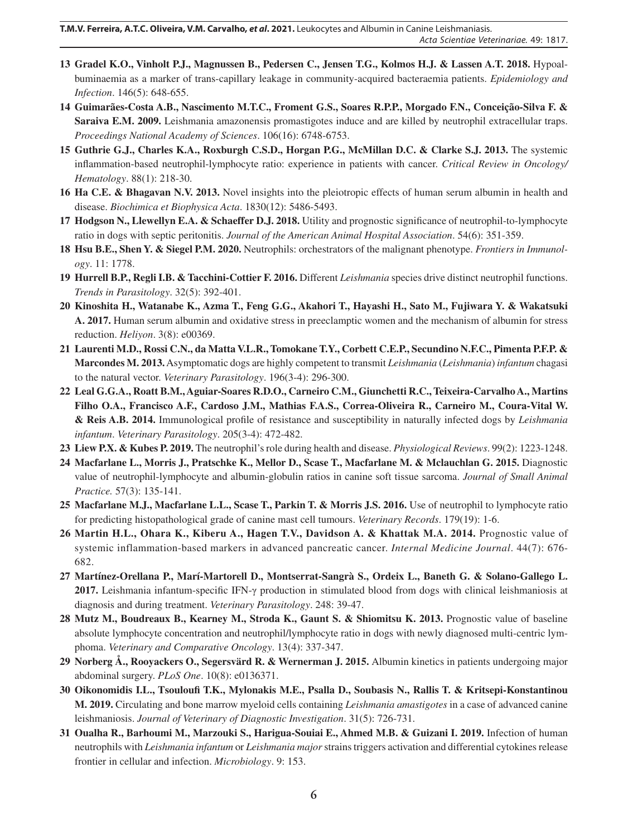- **13 Gradel K.O., Vinholt P.J., Magnussen B., Pedersen C., Jensen T.G., Kolmos H.J. & Lassen A.T. 2018.** Hypoalbuminaemia as a marker of trans-capillary leakage in community-acquired bacteraemia patients. *Epidemiology and Infection*. 146(5): 648-655.
- **14 Guimarães-Costa A.B., Nascimento M.T.C., Froment G.S., Soares R.P.P., Morgado F.N., Conceição-Silva F. & Saraiva E.M. 2009.** Leishmania amazonensis promastigotes induce and are killed by neutrophil extracellular traps. *Proceedings National Academy of Sciences*. 106(16): 6748-6753.
- **15 Guthrie G.J., Charles K.A., Roxburgh C.S.D., Horgan P.G., McMillan D.C. & Clarke S.J. 2013.** The systemic inflammation-based neutrophil-lymphocyte ratio: experience in patients with cancer. *Critical Review in Oncology/ Hematology*. 88(1): 218-30.
- **16 Ha C.E. & Bhagavan N.V. 2013.** Novel insights into the pleiotropic effects of human serum albumin in health and disease. *Biochimica et Biophysica Acta*. 1830(12): 5486-5493.
- **17 Hodgson N., Llewellyn E.A. & Schaeffer D.J. 2018.** Utility and prognostic significance of neutrophil-to-lymphocyte ratio in dogs with septic peritonitis. *Journal of the American Animal Hospital Association*. 54(6): 351-359.
- **18 Hsu B.E., Shen Y. & Siegel P.M. 2020.** Neutrophils: orchestrators of the malignant phenotype. *Frontiers in Immunology*. 11: 1778.
- **19 Hurrell B.P., Regli I.B. & Tacchini-Cottier F. 2016.** Different *Leishmania* species drive distinct neutrophil functions. *Trends in Parasitology*. 32(5): 392-401.
- **20 Kinoshita H., Watanabe K., Azma T., Feng G.G., Akahori T., Hayashi H., Sato M., Fujiwara Y. & Wakatsuki A. 2017.** Human serum albumin and oxidative stress in preeclamptic women and the mechanism of albumin for stress reduction. *Heliyon*. 3(8): e00369.
- **21 Laurenti M.D., Rossi C.N., da Matta V.L.R., Tomokane T.Y., Corbett C.E.P., Secundino N.F.C., Pimenta P.F.P. & Marcondes M. 2013.** Asymptomatic dogs are highly competent to transmit *Leishmania* (*Leishmania*) *infantum* chagasi to the natural vector. *Veterinary Parasitology*. 196(3-4): 296-300.
- **22 Leal G.G.A., Roatt B.M., Aguiar-Soares R.D.O., Carneiro C.M., Giunchetti R.C., Teixeira-Carvalho A., Martins Filho O.A., Francisco A.F., Cardoso J.M., Mathias F.A.S., Correa-Oliveira R., Carneiro M., Coura-Vital W. & Reis A.B. 2014.** Immunological profile of resistance and susceptibility in naturally infected dogs by *Leishmania infantum*. *Veterinary Parasitology*. 205(3-4): 472-482.
- **23 Liew P.X. & Kubes P. 2019.** The neutrophil's role during health and disease. *Physiological Reviews*. 99(2): 1223-1248.
- **24 Macfarlane L., Morris J., Pratschke K., Mellor D., Scase T., Macfarlane M. & Mclauchlan G. 2015.** Diagnostic value of neutrophil-lymphocyte and albumin-globulin ratios in canine soft tissue sarcoma. *Journal of Small Animal Practice.* 57(3): 135-141.
- **25 Macfarlane M.J., Macfarlane L.L., Scase T., Parkin T. & Morris J.S. 2016.** Use of neutrophil to lymphocyte ratio for predicting histopathological grade of canine mast cell tumours. *Veterinary Records*. 179(19): 1-6.
- **26 Martin H.L., Ohara K., Kiberu A., Hagen T.V., Davidson A. & Khattak M.A. 2014.** Prognostic value of systemic inflammation-based markers in advanced pancreatic cancer. *Internal Medicine Journal*. 44(7): 676- 682.
- **27 Martínez-Orellana P., Marí-Martorell D., Montserrat-Sangrà S., Ordeix L., Baneth G. & Solano-Gallego L. 2017.** Leishmania infantum-specific IFN-γ production in stimulated blood from dogs with clinical leishmaniosis at diagnosis and during treatment. *Veterinary Parasitology*. 248: 39-47.
- **28 Mutz M., Boudreaux B., Kearney M., Stroda K., Gaunt S. & Shiomitsu K. 2013.** Prognostic value of baseline absolute lymphocyte concentration and neutrophil/lymphocyte ratio in dogs with newly diagnosed multi-centric lymphoma. *Veterinary and Comparative Oncology*. 13(4): 337-347.
- **29 Norberg Å., Rooyackers O., Segersvärd R. & Wernerman J. 2015.** Albumin kinetics in patients undergoing major abdominal surgery. *PLoS One*. 10(8): e0136371.
- **30 Oikonomidis I.L., Tsouloufi T.K., Mylonakis M.E., Psalla D., Soubasis N., Rallis T. & Kritsepi-Konstantinou M. 2019.** Circulating and bone marrow myeloid cells containing *Leishmania amastigotes* in a case of advanced canine leishmaniosis. *Journal of Veterinary of Diagnostic Investigation*. 31(5): 726-731.
- **31 Oualha R., Barhoumi M., Marzouki S., Harigua-Souiai E., Ahmed M.B. & Guizani I. 2019.** Infection of human neutrophils with *Leishmania infantum* or *Leishmania major* strains triggers activation and differential cytokines release frontier in cellular and infection. *Microbiology*. 9: 153.